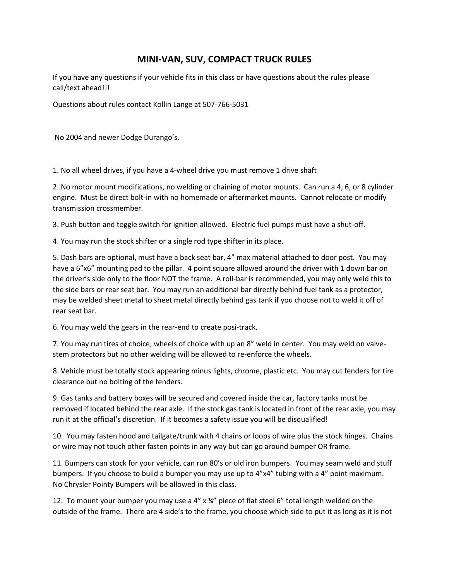## **MINI-VAN, SUV, COMPACT TRUCK RULES**

If you have any questions if your vehicle fits in this class or have questions about the rules please call/text ahead!!!

Questions about rules contact Kollin Lange at 507-766-5031

No 2004 and newer Dodge Durango's.

1. No all wheel drives, if you have a 4-wheel drive you must remove 1 drive shaft

2. No motor mount modifications, no welding or chaining of motor mounts. Can run a 4, 6, or 8 cylinder engine. Must be direct bolt-in with no homemade or aftermarket mounts. Cannot relocate or modify transmission crossmember.

3. Push button and toggle switch for ignition allowed. Electric fuel pumps must have a shut-off.

4. You may run the stock shifter or a single rod type shifter in its place.

5. Dash bars are optional, must have a back seat bar, 4" max material attached to door post. You may have a 6"x6" mounting pad to the pillar. 4 point square allowed around the driver with 1 down bar on the driver's side only to the floor NOT the frame. A roll-bar is recommended, you may only weld this to the side bars or rear seat bar. You may run an additional bar directly behind fuel tank as a protector, may be welded sheet metal to sheet metal directly behind gas tank if you choose not to weld it off of rear seat bar.

6. You may weld the gears in the rear-end to create posi-track.

7. You may run tires of choice, wheels of choice with up an 8" weld in center. You may weld on valvestem protectors but no other welding will be allowed to re-enforce the wheels.

8. Vehicle must be totally stock appearing minus lights, chrome, plastic etc. You may cut fenders for tire clearance but no bolting of the fenders.

9. Gas tanks and battery boxes will be secured and covered inside the car, factory tanks must be removed if located behind the rear axle. If the stock gas tank is located in front of the rear axle, you may run it at the official's discretion. If it becomes a safety issue you will be disqualified!

10. You may fasten hood and tailgate/trunk with 4 chains or loops of wire plus the stock hinges. Chains or wire may not touch other fasten points in any way but can go around bumper OR frame.

11. Bumpers can stock for your vehicle, can run 80's or old iron bumpers. You may seam weld and stuff bumpers. If you choose to build a bumper you may use up to 4"x4" tubing with a 4" point maximum. No Chrysler Pointy Bumpers will be allowed in this class.

12. To mount your bumper you may use a 4"  $x$   $\frac{1}{4}$ " piece of flat steel 6" total length welded on the outside of the frame. There are 4 side's to the frame, you choose which side to put it as long as it is not